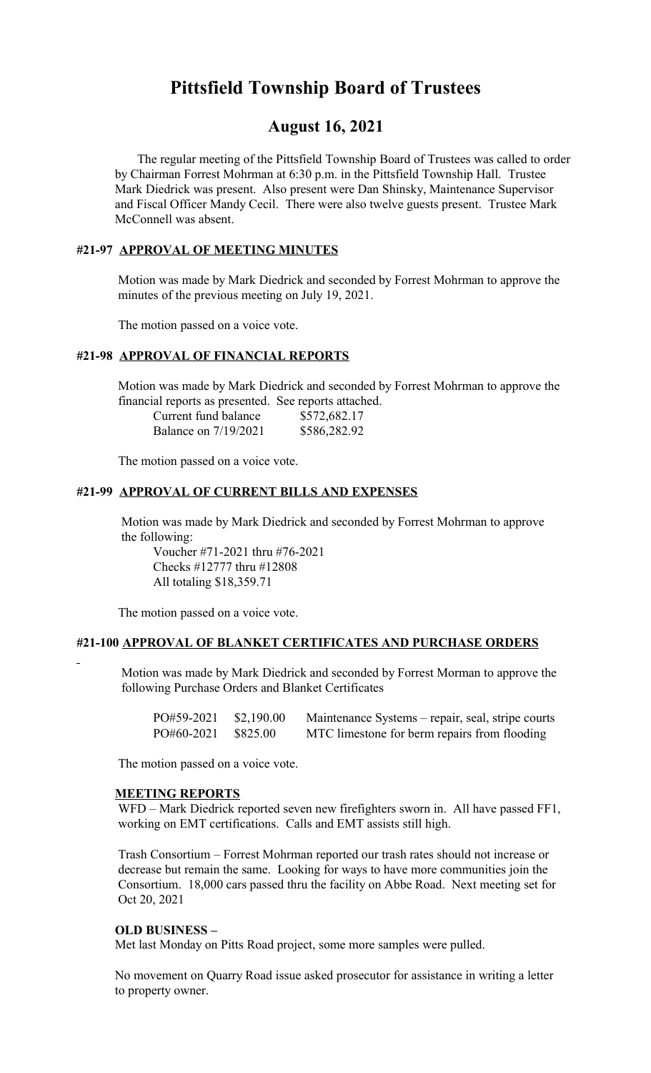# **Pittsfield Township Board of Trustees**

# **August 16, 2021**

 The regular meeting of the Pittsfield Township Board of Trustees was called to order by Chairman Forrest Mohrman at 6:30 p.m. in the Pittsfield Township Hall. Trustee Mark Diedrick was present. Also present were Dan Shinsky, Maintenance Supervisor and Fiscal Officer Mandy Cecil. There were also twelve guests present. Trustee Mark McConnell was absent.

# **#21-97 APPROVAL OF MEETING MINUTES**

 Motion was made by Mark Diedrick and seconded by Forrest Mohrman to approve the minutes of the previous meeting on July 19, 2021.

The motion passed on a voice vote.

#### **#21-98 APPROVAL OF FINANCIAL REPORTS**

 Motion was made by Mark Diedrick and seconded by Forrest Mohrman to approve the financial reports as presented. See reports attached.

| Current fund balance | \$572,682.17 |
|----------------------|--------------|
| Balance on 7/19/2021 | \$586,282.92 |

The motion passed on a voice vote.

#### **#21-99 APPROVAL OF CURRENT BILLS AND EXPENSES**

 Motion was made by Mark Diedrick and seconded by Forrest Mohrman to approve the following:

Voucher #71-2021 thru #76-2021 Checks #12777 thru #12808 All totaling \$18,359.71

The motion passed on a voice vote.

#### **#21-100 APPROVAL OF BLANKET CERTIFICATES AND PURCHASE ORDERS**

 Motion was made by Mark Diedrick and seconded by Forrest Morman to approve the following Purchase Orders and Blanket Certificates

| PO#59-2021 \$2,190.00 | Maintenance Systems – repair, seal, stripe courts |
|-----------------------|---------------------------------------------------|
| PO#60-2021 \$825.00   | MTC limestone for berm repairs from flooding      |

The motion passed on a voice vote.

# **MEETING REPORTS**

WFD – Mark Diedrick reported seven new firefighters sworn in. All have passed FF1, working on EMT certifications. Calls and EMT assists still high.

Trash Consortium – Forrest Mohrman reported our trash rates should not increase or decrease but remain the same. Looking for ways to have more communities join the Consortium. 18,000 cars passed thru the facility on Abbe Road. Next meeting set for Oct 20, 2021

#### **OLD BUSINESS –**

Met last Monday on Pitts Road project, some more samples were pulled.

 No movement on Quarry Road issue asked prosecutor for assistance in writing a letter to property owner.